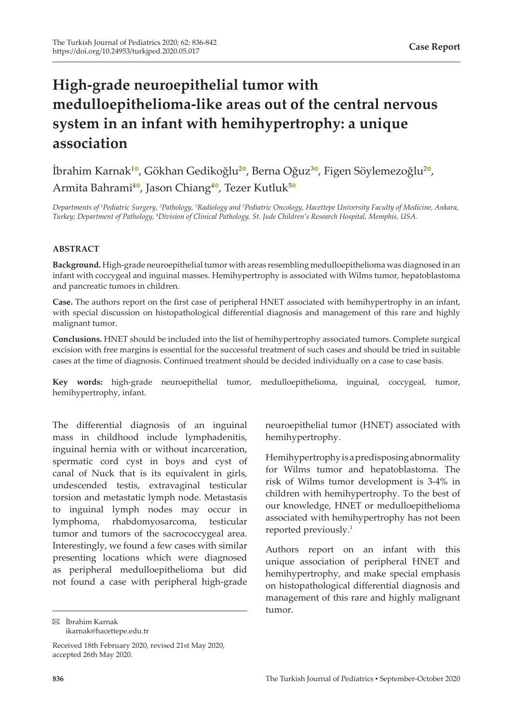# **High-grade neuroepithelial tumor with medulloepithelioma-like areas out of the central nervous system in an infant with hemihypertrophy: a unique association**

**İbrahim Karnak<sup>10</sup>[,](https://orcid.org/0000-0002-8002-5165) Gökhan Gedikoğlu<sup>20</sup>, Berna Oğuz<sup>[3](https://orcid.org/0000-0003-0399-3741)0</sup>, Figen Söylemezoğlu<sup>20</sup>,** Armita Bahrami<sup>[4](https://orcid.org/0000-0002-8515-2649)0</sup>[,](https://orcid.org/0000-0003-3623-8996) Jason Chiang<sup>40</sup>, Tezer Kutluk<sup>[5](https://orcid.org/0000-0002-1918-4407)0</sup>

*Departments of <sup>1</sup> Pediatric Surgery, <sup>2</sup> Pathology, <sup>3</sup> Radiology and 5 Pediatric Oncology, Hacettepe University Faculty of Medicine, Ankara, Turkey; Department of Pathology, <sup>4</sup> Division of Clinical Pathology, St. Jude Children's Research Hospital, Memphis, USA.*

#### **ABSTRACT**

**Background.** High-grade neuroepithelial tumor with areas resembling medulloepithelioma was diagnosed in an infant with coccygeal and inguinal masses. Hemihypertrophy is associated with Wilms tumor, hepatoblastoma and pancreatic tumors in children.

**Case.** The authors report on the first case of peripheral HNET associated with hemihypertrophy in an infant, with special discussion on histopathological differential diagnosis and management of this rare and highly malignant tumor.

**Conclusions.** HNET should be included into the list of hemihypertrophy associated tumors. Complete surgical excision with free margins is essential for the successful treatment of such cases and should be tried in suitable cases at the time of diagnosis. Continued treatment should be decided individually on a case to case basis.

**Key words:** high-grade neuroepithelial tumor, medulloepithelioma, inguinal, coccygeal, tumor, hemihypertrophy, infant.

The differential diagnosis of an inguinal mass in childhood include lymphadenitis, inguinal hernia with or without incarceration, spermatic cord cyst in boys and cyst of canal of Nuck that is its equivalent in girls, undescended testis, extravaginal testicular torsion and metastatic lymph node. Metastasis to inguinal lymph nodes may occur in lymphoma, rhabdomyosarcoma, testicular tumor and tumors of the sacrococcygeal area. Interestingly, we found a few cases with similar presenting locations which were diagnosed as peripheral medulloepithelioma but did not found a case with peripheral high-grade

 $\boxtimes$  İbrahim Karnak ikarnak@hacettepe.edu.tr neuroepithelial tumor (HNET) associated with hemihypertrophy.

Hemihypertrophy is a predisposing abnormality for Wilms tumor and hepatoblastoma. The risk of Wilms tumor development is 3-4% in children with hemihypertrophy. To the best of our knowledge, HNET or medulloepithelioma associated with hemihypertrophy has not been reported previously.1

Authors report on an infant with this unique association of peripheral HNET and hemihypertrophy, and make special emphasis on histopathological differential diagnosis and management of this rare and highly malignant tumor.

Received 18th February 2020, revised 21st May 2020, accepted 26th May 2020.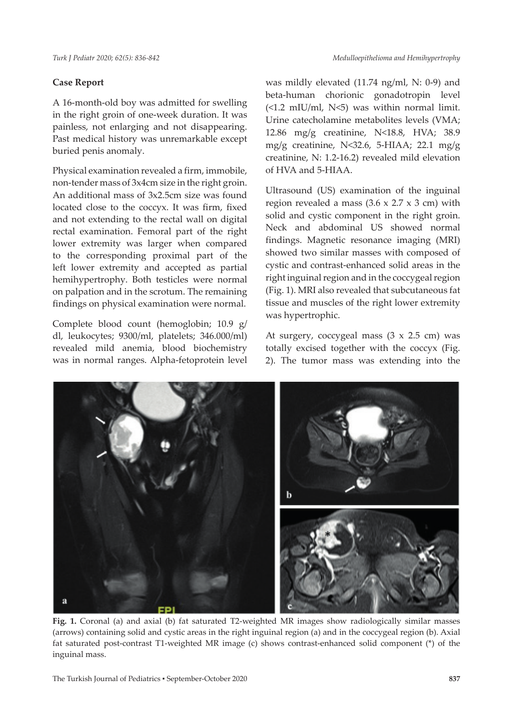## **Case Report**

A 16-month-old boy was admitted for swelling in the right groin of one-week duration. It was painless, not enlarging and not disappearing. Past medical history was unremarkable except buried penis anomaly.

Physical examination revealed a firm, immobile, non-tender mass of 3x4cm size in the right groin. An additional mass of 3x2.5cm size was found located close to the coccyx. It was firm, fixed and not extending to the rectal wall on digital rectal examination. Femoral part of the right lower extremity was larger when compared to the corresponding proximal part of the left lower extremity and accepted as partial hemihypertrophy. Both testicles were normal on palpation and in the scrotum. The remaining findings on physical examination were normal.

Complete blood count (hemoglobin; 10.9 g/ dl, leukocytes; 9300/ml, platelets; 346.000/ml) revealed mild anemia, blood biochemistry was in normal ranges. Alpha-fetoprotein level was mildly elevated (11.74 ng/ml, N: 0-9) and beta-human chorionic gonadotropin level  $(\leq 1.2 \text{ mIU/ml}, \text{N}\leq 5)$  was within normal limit. Urine catecholamine metabolites levels (VMA; 12.86 mg/g creatinine, N<18.8, HVA; 38.9 mg/g creatinine, N<32.6, 5-HIAA; 22.1 mg/g creatinine, N: 1.2-16.2) revealed mild elevation of HVA and 5-HIAA.

Ultrasound (US) examination of the inguinal region revealed a mass  $(3.6 \times 2.7 \times 3 \text{ cm})$  with solid and cystic component in the right groin. Neck and abdominal US showed normal findings. Magnetic resonance imaging (MRI) showed two similar masses with composed of cystic and contrast-enhanced solid areas in the right inguinal region and in the coccygeal region (Fig. 1). MRI also revealed that subcutaneous fat tissue and muscles of the right lower extremity was hypertrophic.

At surgery, coccygeal mass  $(3 \times 2.5 \text{ cm})$  was totally excised together with the coccyx (Fig. 2). The tumor mass was extending into the



**Fig. 1.** Coronal (a) and axial (b) fat saturated T2-weighted MR images show radiologically similar masses (arrows) containing solid and cystic areas in the right inguinal region (a) and in the coccygeal region (b). Axial fat saturated post-contrast T1-weighted MR image (c) shows contrast-enhanced solid component (\*) of the inguinal mass.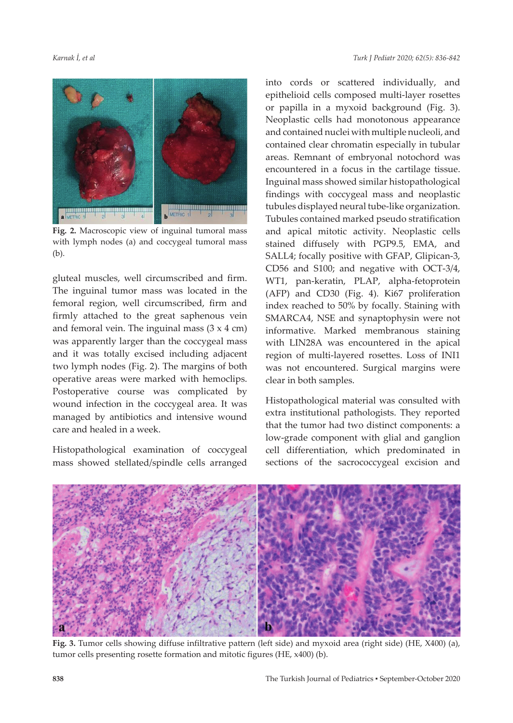

**Fig. 2.** Macroscopic view of inguinal tumoral mass with lymph nodes (a) and coccygeal tumoral mass (b).

gluteal muscles, well circumscribed and firm. The inguinal tumor mass was located in the femoral region, well circumscribed, firm and firmly attached to the great saphenous vein and femoral vein. The inguinal mass  $(3 \times 4 \text{ cm})$ was apparently larger than the coccygeal mass and it was totally excised including adjacent two lymph nodes (Fig. 2). The margins of both operative areas were marked with hemoclips. Postoperative course was complicated by wound infection in the coccygeal area. It was managed by antibiotics and intensive wound care and healed in a week.

Histopathological examination of coccygeal mass showed stellated/spindle cells arranged into cords or scattered individually, and epithelioid cells composed multi-layer rosettes or papilla in a myxoid background (Fig. 3). Neoplastic cells had monotonous appearance and contained nuclei with multiple nucleoli, and contained clear chromatin especially in tubular areas. Remnant of embryonal notochord was encountered in a focus in the cartilage tissue. Inguinal mass showed similar histopathological findings with coccygeal mass and neoplastic tubules displayed neural tube-like organization. Tubules contained marked pseudo stratification and apical mitotic activity. Neoplastic cells stained diffusely with PGP9.5, EMA, and SALL4; focally positive with GFAP, Glipican-3, CD56 and S100; and negative with OCT-3/4, WT1, pan-keratin, PLAP, alpha-fetoprotein (AFP) and CD30 (Fig. 4). Ki67 proliferation index reached to 50% by focally. Staining with SMARCA4, NSE and synaptophysin were not informative. Marked membranous staining with LIN28A was encountered in the apical region of multi-layered rosettes. Loss of INI1 was not encountered. Surgical margins were clear in both samples.

Histopathological material was consulted with extra institutional pathologists. They reported that the tumor had two distinct components: a low-grade component with glial and ganglion cell differentiation, which predominated in sections of the sacrococcygeal excision and



**Fig. 3.** Tumor cells showing diffuse infiltrative pattern (left side) and myxoid area (right side) (HE, X400) (a), tumor cells presenting rosette formation and mitotic figures (HE, x400) (b).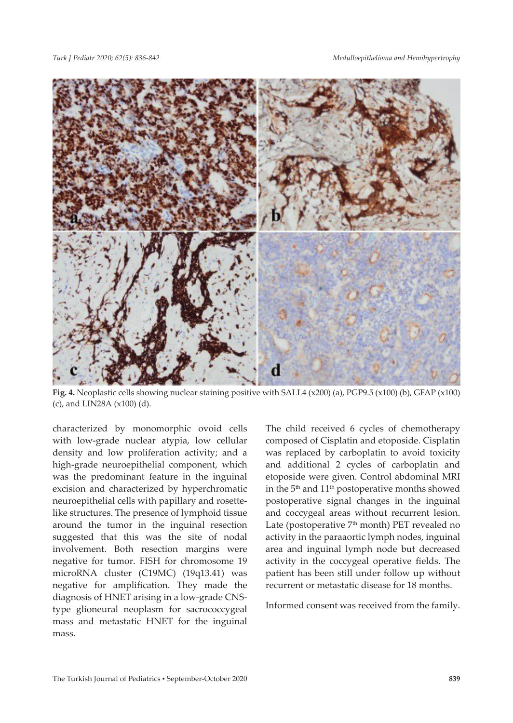

**Fig. 4.** Neoplastic cells showing nuclear staining positive with SALL4 (x200) (a), PGP9.5 (x100) (b), GFAP (x100) (c), and LIN28A (x100) (d).

characterized by monomorphic ovoid cells with low-grade nuclear atypia, low cellular density and low proliferation activity; and a high-grade neuroepithelial component, which was the predominant feature in the inguinal excision and characterized by hyperchromatic neuroepithelial cells with papillary and rosettelike structures. The presence of lymphoid tissue around the tumor in the inguinal resection suggested that this was the site of nodal involvement. Both resection margins were negative for tumor. FISH for chromosome 19 microRNA cluster (C19MC) (19q13.41) was negative for amplification. They made the diagnosis of HNET arising in a low-grade CNStype glioneural neoplasm for sacrococcygeal mass and metastatic HNET for the inguinal mass.

The child received 6 cycles of chemotherapy composed of Cisplatin and etoposide. Cisplatin was replaced by carboplatin to avoid toxicity and additional 2 cycles of carboplatin and etoposide were given. Control abdominal MRI in the 5<sup>th</sup> and 11<sup>th</sup> postoperative months showed postoperative signal changes in the inguinal and coccygeal areas without recurrent lesion. Late (postoperative  $7<sup>th</sup>$  month) PET revealed no activity in the paraaortic lymph nodes, inguinal area and inguinal lymph node but decreased activity in the coccygeal operative fields. The patient has been still under follow up without recurrent or metastatic disease for 18 months.

Informed consent was received from the family.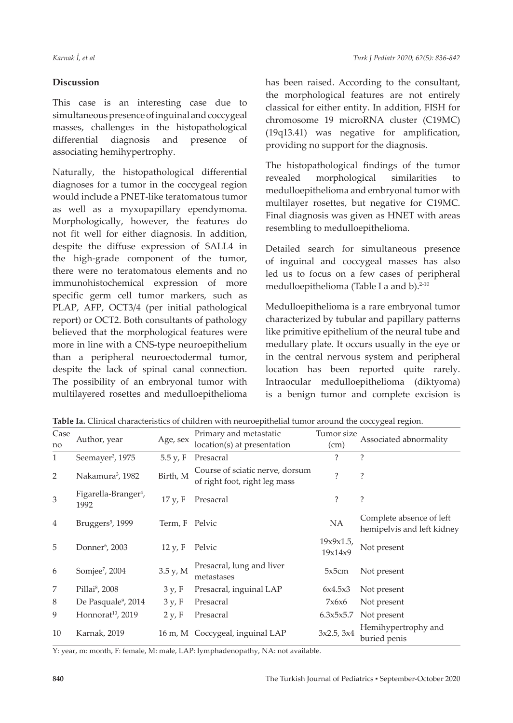## **Discussion**

This case is an interesting case due to simultaneous presence of inguinal and coccygeal masses, challenges in the histopathological differential diagnosis and presence of associating hemihypertrophy.

Naturally, the histopathological differential diagnoses for a tumor in the coccygeal region would include a PNET-like teratomatous tumor as well as a myxopapillary ependymoma. Morphologically, however, the features do not fit well for either diagnosis. In addition, despite the diffuse expression of SALL4 in the high-grade component of the tumor, there were no teratomatous elements and no immunohistochemical expression of more specific germ cell tumor markers, such as PLAP, AFP, OCT3/4 (per initial pathological report) or OCT2. Both consultants of pathology believed that the morphological features were more in line with a CNS-type neuroepithelium than a peripheral neuroectodermal tumor, despite the lack of spinal canal connection. The possibility of an embryonal tumor with multilayered rosettes and medulloepithelioma

has been raised. According to the consultant, the morphological features are not entirely classical for either entity. In addition, FISH for chromosome 19 microRNA cluster (C19MC) (19q13.41) was negative for amplification, providing no support for the diagnosis.

The histopathological findings of the tumor revealed morphological similarities to medulloepithelioma and embryonal tumor with multilayer rosettes, but negative for C19MC. Final diagnosis was given as HNET with areas resembling to medulloepithelioma.

Detailed search for simultaneous presence of inguinal and coccygeal masses has also led us to focus on a few cases of peripheral medulloepithelioma (Table I a and b). $2-10$ 

Medulloepithelioma is a rare embryonal tumor characterized by tubular and papillary patterns like primitive epithelium of the neural tube and medullary plate. It occurs usually in the eye or in the central nervous system and peripheral location has been reported quite rarely. Intraocular medulloepithelioma (diktyoma) is a benign tumor and complete excision is

|  | Table Ia. Clinical characteristics of children with neuroepithelial tumor around the coccygeal region |  |  |  |  |  |
|--|-------------------------------------------------------------------------------------------------------|--|--|--|--|--|
|--|-------------------------------------------------------------------------------------------------------|--|--|--|--|--|

| Case           |                                          |                | Primary and metastatic                                           | Tumor size           | Associated abnormality                                 |  |
|----------------|------------------------------------------|----------------|------------------------------------------------------------------|----------------------|--------------------------------------------------------|--|
| no             | Author, year                             | Age, sex       | location(s) at presentation                                      | (cm)                 |                                                        |  |
| 1              | Seemayer <sup>2</sup> , 1975             | 5.5 y, F       | Presacral                                                        | ?                    | ?                                                      |  |
| 2              | Nakamura <sup>3</sup> , 1982             | Birth, M       | Course of sciatic nerve, dorsum<br>of right foot, right leg mass | 2                    | ?                                                      |  |
| 3              | Figarella-Branger <sup>4</sup> ,<br>1992 | 17 y, F        | Presacral                                                        | ?                    | ?                                                      |  |
| $\overline{4}$ | Bruggers <sup>5</sup> , 1999             | Term, F Pelvic |                                                                  | <b>NA</b>            | Complete absence of left<br>hemipelvis and left kidney |  |
| 5              | Donner <sup>6</sup> , 2003               | 12 y, F        | Pelvic                                                           | 19x9x1.5,<br>19x14x9 | Not present                                            |  |
| 6              | Somjee <sup>7</sup> , 2004               | 3.5 y, M       | Presacral, lung and liver<br>metastases                          | 5x5cm                | Not present                                            |  |
| 7              | Pillai <sup>8</sup> , 2008               | 3 y, F         | Presacral, inguinal LAP                                          | 6x4.5x3              | Not present                                            |  |
| 8              | De Pasquale <sup>9</sup> , 2014          | 3 y, F         | Presacral                                                        | 7x6x6                | Not present                                            |  |
| 9              | Honnorat <sup>10</sup> , 2019            | 2 y, F         | Presacral                                                        | 6.3x5x5.7            | Not present                                            |  |
| 10             | Karnak, 2019                             |                | 16 m, M Coccygeal, inguinal LAP                                  | 3x2.5, 3x4           | Hemihypertrophy and<br>buried penis                    |  |

Y: year, m: month, F: female, M: male, LAP: lymphadenopathy, NA: not available.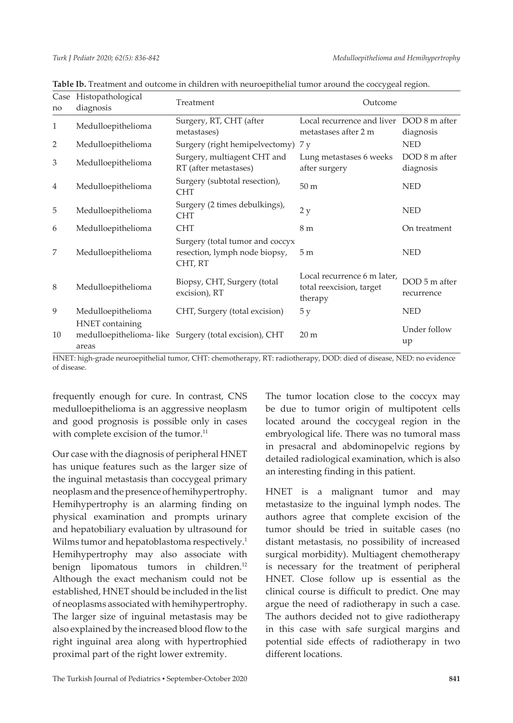| Case<br>no     | Histopathological<br>diagnosis | Treatment                                                                   | Outcome                                                            |                             |  |
|----------------|--------------------------------|-----------------------------------------------------------------------------|--------------------------------------------------------------------|-----------------------------|--|
| 1              | Medulloepithelioma             | Surgery, RT, CHT (after<br>metastases)                                      | Local recurrence and liver DOD 8 m after<br>metastases after 2 m   | diagnosis                   |  |
| 2              | Medulloepithelioma             | Surgery (right hemipelvectomy)                                              | 7 y                                                                | <b>NED</b>                  |  |
| 3              | Medulloepithelioma             | Surgery, multiagent CHT and<br>RT (after metastases)                        | Lung metastases 6 weeks<br>after surgery                           | DOD 8 m after<br>diagnosis  |  |
| $\overline{4}$ | Medulloepithelioma             | Surgery (subtotal resection),<br><b>CHT</b>                                 | 50 <sub>m</sub>                                                    | <b>NED</b>                  |  |
| 5              | Medulloepithelioma             | Surgery (2 times debulkings),<br><b>CHT</b>                                 | 2y                                                                 | <b>NED</b>                  |  |
| 6              | Medulloepithelioma             | <b>CHT</b>                                                                  | 8 m                                                                | On treatment                |  |
| 7              | Medulloepithelioma             | Surgery (total tumor and coccyx<br>resection, lymph node biopsy,<br>CHT, RT | 5 <sub>m</sub>                                                     | <b>NED</b>                  |  |
| 8              | Medulloepithelioma             | Biopsy, CHT, Surgery (total<br>excision), RT                                | Local recurrence 6 m later,<br>total reexcision, target<br>therapy | DOD 5 m after<br>recurrence |  |
| 9              | Medulloepithelioma             | CHT, Surgery (total excision)                                               | 5y                                                                 | <b>NED</b>                  |  |
| 10             | HNET containing<br>areas       | medulloepithelioma-like Surgery (total excision), CHT                       | 20 <sub>m</sub>                                                    | Under follow<br>up          |  |

**Table Ib.** Treatment and outcome in children with neuroepithelial tumor around the coccygeal region.

HNET: high-grade neuroepithelial tumor, CHT: chemotherapy, RT: radiotherapy, DOD: died of disease, NED: no evidence of disease.

frequently enough for cure. In contrast, CNS medulloepithelioma is an aggressive neoplasm and good prognosis is possible only in cases with complete excision of the tumor.<sup>11</sup>

Our case with the diagnosis of peripheral HNET has unique features such as the larger size of the inguinal metastasis than coccygeal primary neoplasm and the presence of hemihypertrophy. Hemihypertrophy is an alarming finding on physical examination and prompts urinary and hepatobiliary evaluation by ultrasound for Wilms tumor and hepatoblastoma respectively.<sup>1</sup> Hemihypertrophy may also associate with benign lipomatous tumors in children.<sup>12</sup> Although the exact mechanism could not be established, HNET should be included in the list of neoplasms associated with hemihypertrophy. The larger size of inguinal metastasis may be also explained by the increased blood flow to the right inguinal area along with hypertrophied proximal part of the right lower extremity.

The tumor location close to the coccyx may be due to tumor origin of multipotent cells located around the coccygeal region in the embryological life. There was no tumoral mass in presacral and abdominopelvic regions by detailed radiological examination, which is also an interesting finding in this patient.

HNET is a malignant tumor and may metastasize to the inguinal lymph nodes. The authors agree that complete excision of the tumor should be tried in suitable cases (no distant metastasis, no possibility of increased surgical morbidity). Multiagent chemotherapy is necessary for the treatment of peripheral HNET. Close follow up is essential as the clinical course is difficult to predict. One may argue the need of radiotherapy in such a case. The authors decided not to give radiotherapy in this case with safe surgical margins and potential side effects of radiotherapy in two different locations.